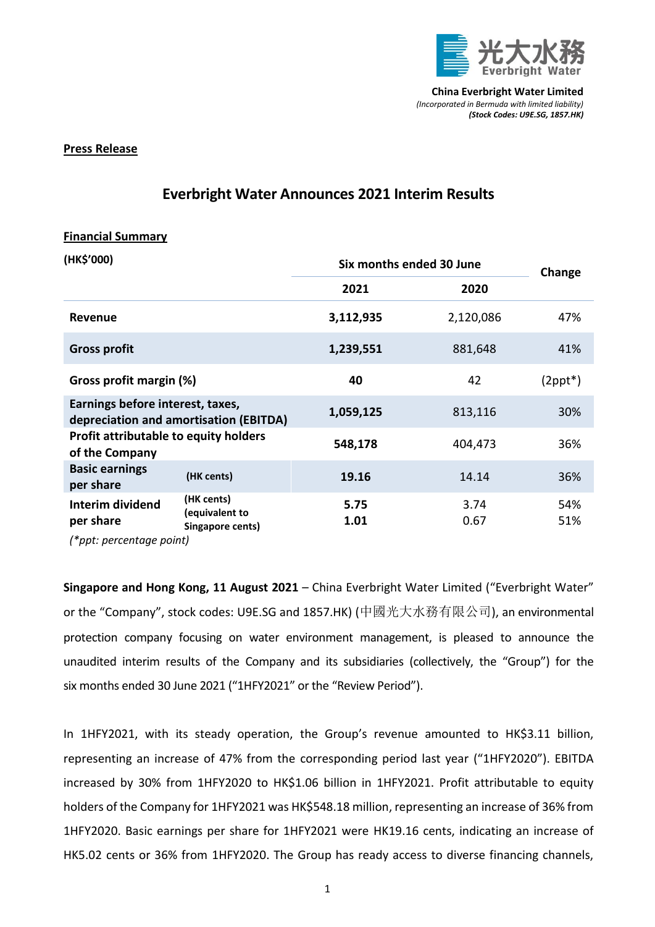

## **Press Release**

## **Everbright Water Announces 2021 Interim Results**

## **Financial Summary**

| (HK\$'000)                                                                 |                                                  | Six months ended 30 June |              | Change                  |
|----------------------------------------------------------------------------|--------------------------------------------------|--------------------------|--------------|-------------------------|
|                                                                            |                                                  | 2021                     | 2020         |                         |
| <b>Revenue</b>                                                             |                                                  | 3,112,935                | 2,120,086    | 47%                     |
| <b>Gross profit</b>                                                        |                                                  | 1,239,551                | 881,648      | 41%                     |
| Gross profit margin (%)                                                    |                                                  | 40                       | 42           | $(2$ ppt <sup>*</sup> ) |
| Earnings before interest, taxes,<br>depreciation and amortisation (EBITDA) |                                                  | 1,059,125                | 813,116      | 30%                     |
| <b>Profit attributable to equity holders</b><br>of the Company             |                                                  | 548,178                  | 404,473      | 36%                     |
| <b>Basic earnings</b><br>per share                                         | (HK cents)                                       | 19.16                    | 14.14        | 36%                     |
| Interim dividend<br>per share<br>(*ppt: percentage point)                  | (HK cents)<br>(equivalent to<br>Singapore cents) | 5.75<br>1.01             | 3.74<br>0.67 | 54%<br>51%              |

**Singapore and Hong Kong, 11 August 2021** – China Everbright Water Limited ("Everbright Water" or the "Company", stock codes: U9E.SG and 1857.HK) (中國光大水務有限公司), an environmental protection company focusing on water environment management, is pleased to announce the unaudited interim results of the Company and its subsidiaries (collectively, the "Group") for the six months ended 30 June 2021 ("1HFY2021" or the "Review Period").

In 1HFY2021, with its steady operation, the Group's revenue amounted to HK\$3.11 billion, representing an increase of 47% from the corresponding period last year ("1HFY2020"). EBITDA increased by 30% from 1HFY2020 to HK\$1.06 billion in 1HFY2021. Profit attributable to equity holders of the Company for 1HFY2021 was HK\$548.18 million, representing an increase of 36% from 1HFY2020. Basic earnings per share for 1HFY2021 were HK19.16 cents, indicating an increase of HK5.02 cents or 36% from 1HFY2020. The Group has ready access to diverse financing channels,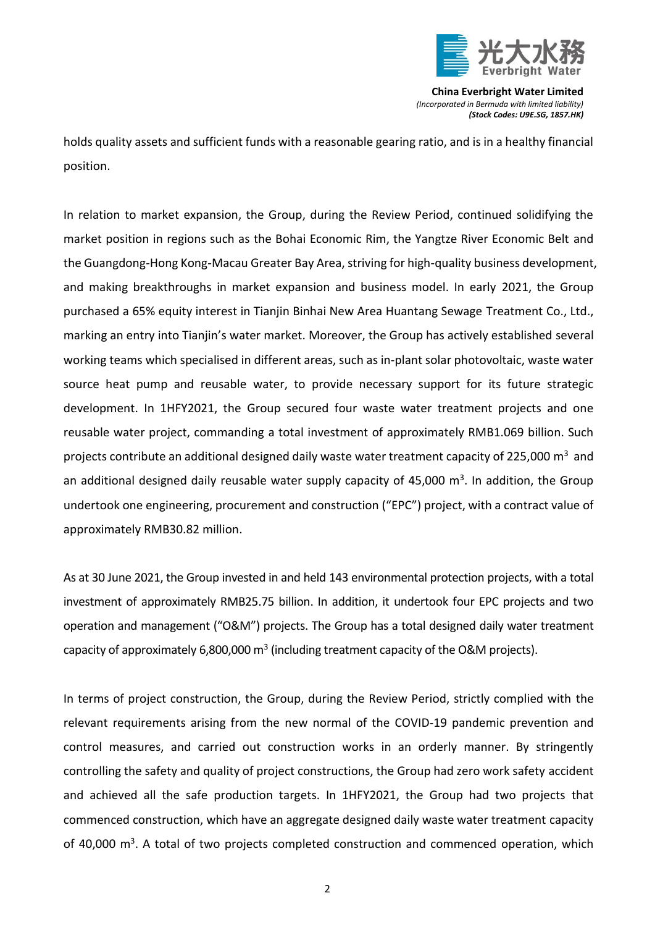

holds quality assets and sufficient funds with a reasonable gearing ratio, and is in a healthy financial position.

In relation to market expansion, the Group, during the Review Period, continued solidifying the market position in regions such as the Bohai Economic Rim, the Yangtze River Economic Belt and the Guangdong-Hong Kong-Macau Greater Bay Area, striving for high-quality business development, and making breakthroughs in market expansion and business model. In early 2021, the Group purchased a 65% equity interest in Tianjin Binhai New Area Huantang Sewage Treatment Co., Ltd., marking an entry into Tianjin's water market. Moreover, the Group has actively established several working teams which specialised in different areas, such as in-plant solar photovoltaic, waste water source heat pump and reusable water, to provide necessary support for its future strategic development. In 1HFY2021, the Group secured four waste water treatment projects and one reusable water project, commanding a total investment of approximately RMB1.069 billion. Such projects contribute an additional designed daily waste water treatment capacity of 225,000  $m<sup>3</sup>$  and an additional designed daily reusable water supply capacity of 45,000 m<sup>3</sup>. In addition, the Group undertook one engineering, procurement and construction ("EPC") project, with a contract value of approximately RMB30.82 million.

As at 30 June 2021, the Group invested in and held 143 environmental protection projects, with a total investment of approximately RMB25.75 billion. In addition, it undertook four EPC projects and two operation and management ("O&M") projects. The Group has a total designed daily water treatment capacity of approximately 6,800,000  $m^3$  (including treatment capacity of the O&M projects).

In terms of project construction, the Group, during the Review Period, strictly complied with the relevant requirements arising from the new normal of the COVID-19 pandemic prevention and control measures, and carried out construction works in an orderly manner. By stringently controlling the safety and quality of project constructions, the Group had zero work safety accident and achieved all the safe production targets. In 1HFY2021, the Group had two projects that commenced construction, which have an aggregate designed daily waste water treatment capacity of 40,000 m<sup>3</sup>. A total of two projects completed construction and commenced operation, which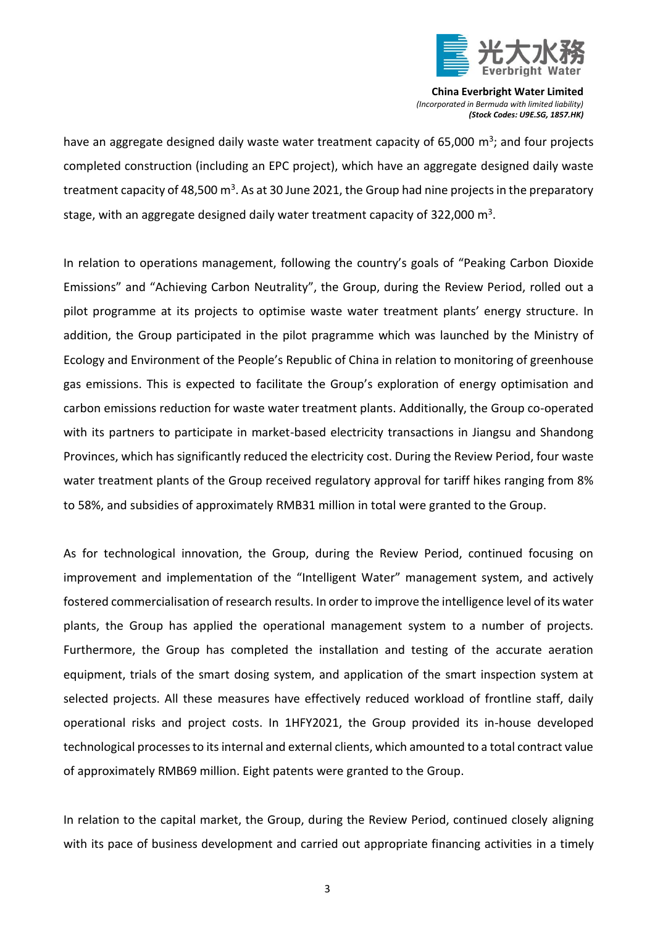

have an aggregate designed daily waste water treatment capacity of 65,000 m<sup>3</sup>; and four projects completed construction (including an EPC project), which have an aggregate designed daily waste treatment capacity of 48,500 m<sup>3</sup>. As at 30 June 2021, the Group had nine projects in the preparatory stage, with an aggregate designed daily water treatment capacity of 322,000  $\text{m}^3$ .

In relation to operations management, following the country's goals of "Peaking Carbon Dioxide Emissions" and "Achieving Carbon Neutrality", the Group, during the Review Period, rolled out a pilot programme at its projects to optimise waste water treatment plants' energy structure. In addition, the Group participated in the pilot pragramme which was launched by the Ministry of Ecology and Environment of the People's Republic of China in relation to monitoring of greenhouse gas emissions. This is expected to facilitate the Group's exploration of energy optimisation and carbon emissions reduction for waste water treatment plants. Additionally, the Group co-operated with its partners to participate in market-based electricity transactions in Jiangsu and Shandong Provinces, which has significantly reduced the electricity cost. During the Review Period, four waste water treatment plants of the Group received regulatory approval for tariff hikes ranging from 8% to 58%, and subsidies of approximately RMB31 million in total were granted to the Group.

As for technological innovation, the Group, during the Review Period, continued focusing on improvement and implementation of the "Intelligent Water" management system, and actively fostered commercialisation of research results. In order to improve the intelligence level of its water plants, the Group has applied the operational management system to a number of projects. Furthermore, the Group has completed the installation and testing of the accurate aeration equipment, trials of the smart dosing system, and application of the smart inspection system at selected projects. All these measures have effectively reduced workload of frontline staff, daily operational risks and project costs. In 1HFY2021, the Group provided its in-house developed technological processesto its internal and external clients, which amounted to a total contract value of approximately RMB69 million. Eight patents were granted to the Group.

In relation to the capital market, the Group, during the Review Period, continued closely aligning with its pace of business development and carried out appropriate financing activities in a timely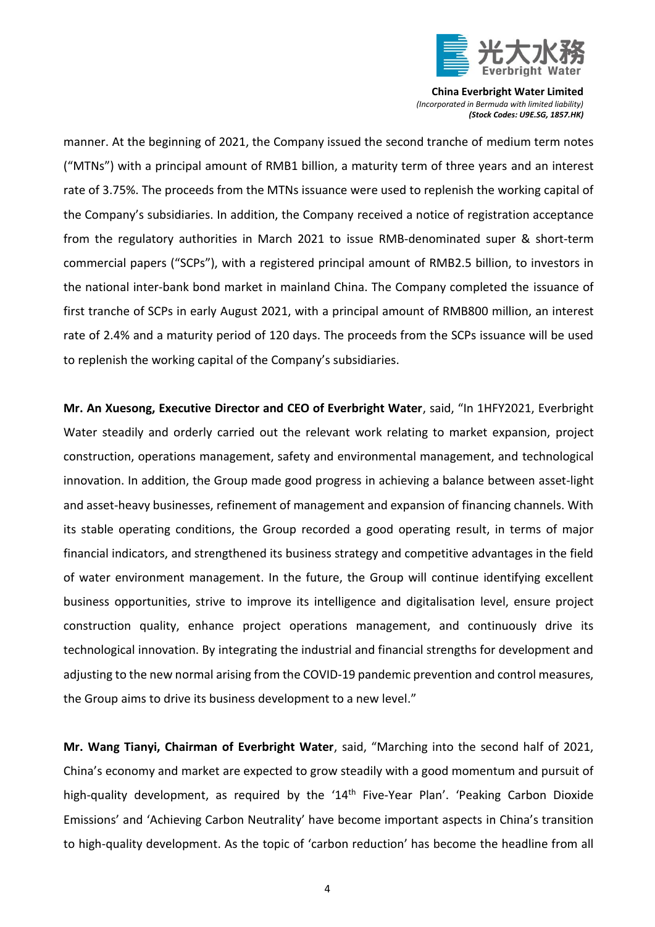

manner. At the beginning of 2021, the Company issued the second tranche of medium term notes ("MTNs") with a principal amount of RMB1 billion, a maturity term of three years and an interest rate of 3.75%. The proceeds from the MTNs issuance were used to replenish the working capital of the Company's subsidiaries. In addition, the Company received a notice of registration acceptance from the regulatory authorities in March 2021 to issue RMB-denominated super & short-term commercial papers ("SCPs"), with a registered principal amount of RMB2.5 billion, to investors in the national inter-bank bond market in mainland China. The Company completed the issuance of first tranche of SCPs in early August 2021, with a principal amount of RMB800 million, an interest rate of 2.4% and a maturity period of 120 days. The proceeds from the SCPs issuance will be used to replenish the working capital of the Company's subsidiaries.

**Mr. An Xuesong, Executive Director and CEO of Everbright Water**, said, "In 1HFY2021, Everbright Water steadily and orderly carried out the relevant work relating to market expansion, project construction, operations management, safety and environmental management, and technological innovation. In addition, the Group made good progress in achieving a balance between asset-light and asset-heavy businesses, refinement of management and expansion of financing channels. With its stable operating conditions, the Group recorded a good operating result, in terms of major financial indicators, and strengthened its business strategy and competitive advantages in the field of water environment management. In the future, the Group will continue identifying excellent business opportunities, strive to improve its intelligence and digitalisation level, ensure project construction quality, enhance project operations management, and continuously drive its technological innovation. By integrating the industrial and financial strengths for development and adjusting to the new normal arising from the COVID-19 pandemic prevention and control measures, the Group aims to drive its business development to a new level."

**Mr. Wang Tianyi, Chairman of Everbright Water**, said, "Marching into the second half of 2021, China's economy and market are expected to grow steadily with a good momentum and pursuit of high-quality development, as required by the '14<sup>th</sup> Five-Year Plan'. 'Peaking Carbon Dioxide Emissions' and 'Achieving Carbon Neutrality' have become important aspects in China's transition to high-quality development. As the topic of 'carbon reduction' has become the headline from all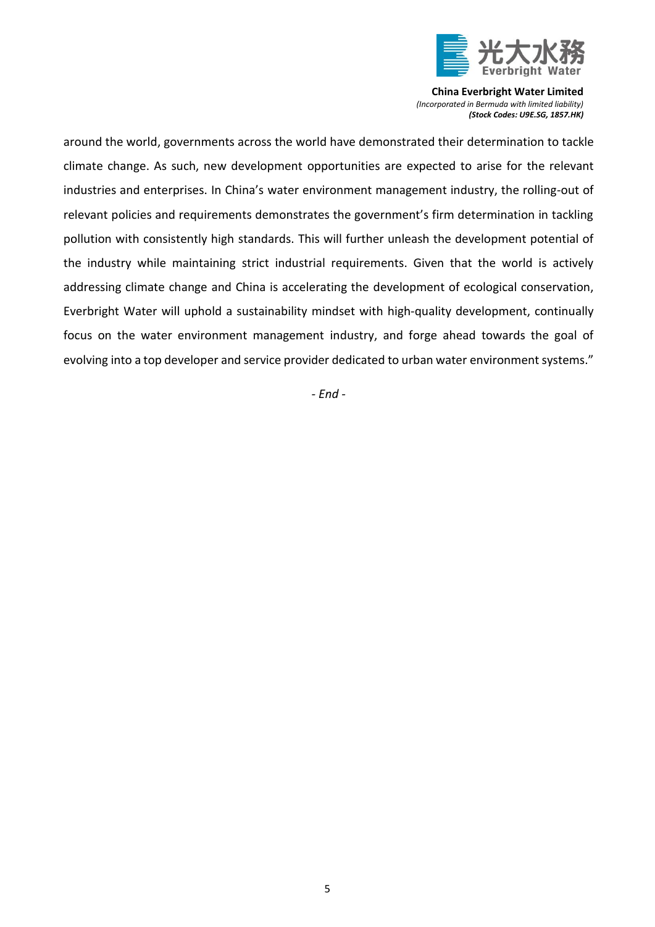

around the world, governments across the world have demonstrated their determination to tackle climate change. As such, new development opportunities are expected to arise for the relevant industries and enterprises. In China's water environment management industry, the rolling-out of relevant policies and requirements demonstrates the government's firm determination in tackling pollution with consistently high standards. This will further unleash the development potential of the industry while maintaining strict industrial requirements. Given that the world is actively addressing climate change and China is accelerating the development of ecological conservation, Everbright Water will uphold a sustainability mindset with high-quality development, continually focus on the water environment management industry, and forge ahead towards the goal of evolving into a top developer and service provider dedicated to urban water environment systems."

*- End -*